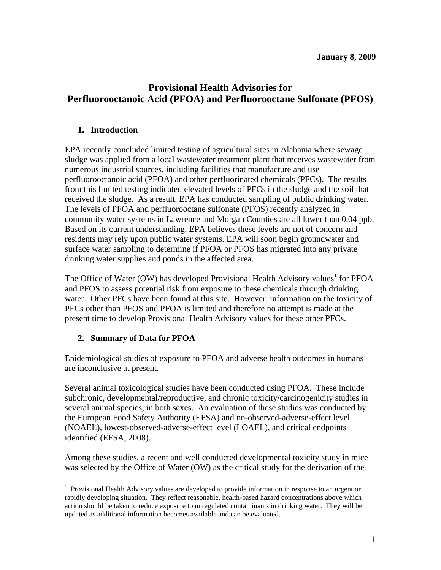# **Provisional Health Advisories for Perfluorooctanoic Acid (PFOA) and Perfluorooctane Sulfonate (PFOS)**

### **1. Introduction**

EPA recently concluded limited testing of agricultural sites in Alabama where sewage sludge was applied from a local wastewater treatment plant that receives wastewater from numerous industrial sources, including facilities that manufacture and use perfluorooctanoic acid (PFOA) and other perfluorinated chemicals (PFCs). The results from this limited testing indicated elevated levels of PFCs in the sludge and the soil that received the sludge. As a result, EPA has conducted sampling of public drinking water. The levels of PFOA and perfluorooctane sulfonate (PFOS) recently analyzed in community water systems in Lawrence and Morgan Counties are all lower than 0.04 ppb. Based on its current understanding, EPA believes these levels are not of concern and residents may rely upon public water systems. EPA will soon begin groundwater and surface water sampling to determine if PFOA or PFOS has migrated into any private drinking water supplies and ponds in the affected area.

The Office of Water (OW) has developed Provisional Health Advisory values<sup>1</sup> for PFOA and PFOS to assess potential risk from exposure to these chemicals through drinking water. Other PFCs have been found at this site. However, information on the toxicity of PFCs other than PFOS and PFOA is limited and therefore no attempt is made at the present time to develop Provisional Health Advisory values for these other PFCs.

# **2. Summary of Data for PFOA**

 $\overline{a}$ 

Epidemiological studies of exposure to PFOA and adverse health outcomes in humans are inconclusive at present.

Several animal toxicological studies have been conducted using PFOA. These include subchronic, developmental/reproductive, and chronic toxicity/carcinogenicity studies in several animal species, in both sexes. An evaluation of these studies was conducted by the European Food Safety Authority (EFSA) and no-observed-adverse-effect level (NOAEL), lowest-observed-adverse-effect level (LOAEL), and critical endpoints identified (EFSA, 2008).

Among these studies, a recent and well conducted developmental toxicity study in mice was selected by the Office of Water (OW) as the critical study for the derivation of the

<sup>&</sup>lt;sup>1</sup> Provisional Health Advisory values are developed to provide information in response to an urgent or rapidly developing situation. They reflect reasonable, health-based hazard concentrations above which action should be taken to reduce exposure to unregulated contaminants in drinking water. They will be updated as additional information becomes available and can be evaluated.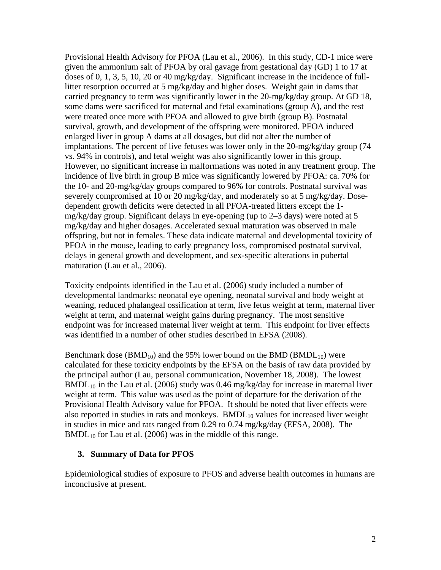Provisional Health Advisory for PFOA (Lau et al., 2006). In this study, CD-1 mice were given the ammonium salt of PFOA by oral gavage from gestational day (GD) 1 to 17 at doses of 0, 1, 3, 5, 10, 20 or 40 mg/kg/day. Significant increase in the incidence of fulllitter resorption occurred at 5 mg/kg/day and higher doses. Weight gain in dams that carried pregnancy to term was significantly lower in the 20-mg/kg/day group. At GD 18, some dams were sacrificed for maternal and fetal examinations (group A), and the rest were treated once more with PFOA and allowed to give birth (group B). Postnatal survival, growth, and development of the offspring were monitored. PFOA induced enlarged liver in group A dams at all dosages, but did not alter the number of implantations. The percent of live fetuses was lower only in the 20-mg/kg/day group (74 vs. 94% in controls), and fetal weight was also significantly lower in this group. However, no significant increase in malformations was noted in any treatment group. The incidence of live birth in group B mice was significantly lowered by PFOA: ca. 70% for the 10- and 20-mg/kg/day groups compared to 96% for controls. Postnatal survival was severely compromised at 10 or 20 mg/kg/day, and moderately so at 5 mg/kg/day. Dosedependent growth deficits were detected in all PFOA-treated litters except the 1  $mg/kg/day$  group. Significant delays in eye-opening (up to 2–3 days) were noted at 5 mg/kg/day and higher dosages. Accelerated sexual maturation was observed in male offspring, but not in females. These data indicate maternal and developmental toxicity of PFOA in the mouse, leading to early pregnancy loss, compromised postnatal survival, delays in general growth and development, and sex-specific alterations in pubertal maturation (Lau et al., 2006).

Toxicity endpoints identified in the Lau et al. (2006) study included a number of developmental landmarks: neonatal eye opening, neonatal survival and body weight at weaning, reduced phalangeal ossification at term, live fetus weight at term, maternal liver weight at term, and maternal weight gains during pregnancy. The most sensitive endpoint was for increased maternal liver weight at term. This endpoint for liver effects was identified in a number of other studies described in EFSA (2008).

Benchmark dose  $(BMD_{10})$  and the 95% lower bound on the BMD (BMDL<sub>10</sub>) were calculated for these toxicity endpoints by the EFSA on the basis of raw data provided by the principal author (Lau, personal communication, November 18, 2008). The lowest  $BMDL_{10}$  in the Lau et al. (2006) study was 0.46 mg/kg/day for increase in maternal liver weight at term. This value was used as the point of departure for the derivation of the Provisional Health Advisory value for PFOA. It should be noted that liver effects were also reported in studies in rats and monkeys.  $BMDL_{10}$  values for increased liver weight in studies in mice and rats ranged from 0.29 to 0.74 mg/kg/day (EFSA, 2008). The  $BMDL_{10}$  for Lau et al. (2006) was in the middle of this range.

#### **3. Summary of Data for PFOS**

Epidemiological studies of exposure to PFOS and adverse health outcomes in humans are inconclusive at present.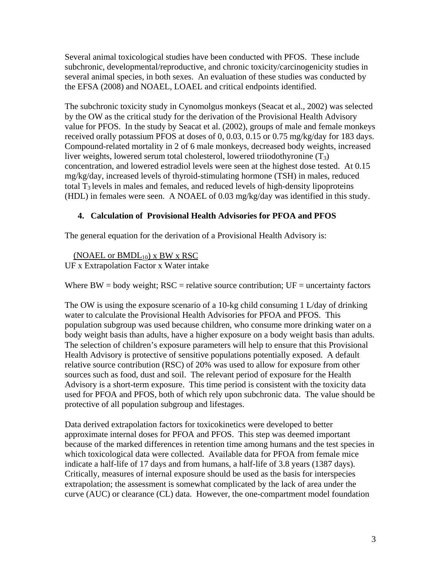Several animal toxicological studies have been conducted with PFOS. These include subchronic, developmental/reproductive, and chronic toxicity/carcinogenicity studies in several animal species, in both sexes. An evaluation of these studies was conducted by the EFSA (2008) and NOAEL, LOAEL and critical endpoints identified.

The subchronic toxicity study in Cynomolgus monkeys (Seacat et al., 2002) was selected by the OW as the critical study for the derivation of the Provisional Health Advisory value for PFOS. In the study by Seacat et al. (2002), groups of male and female monkeys received orally potassium PFOS at doses of 0, 0.03, 0.15 or 0.75 mg/kg/day for 183 days. Compound-related mortality in 2 of 6 male monkeys, decreased body weights, increased liver weights, lowered serum total cholesterol, lowered triiodothyronine  $(T_3)$ concentration, and lowered estradiol levels were seen at the highest dose tested. At 0.15 mg/kg/day, increased levels of thyroid-stimulating hormone (TSH) in males, reduced total  $T_3$  levels in males and females, and reduced levels of high-density lipoproteins (HDL) in females were seen. A NOAEL of 0.03 mg/kg/day was identified in this study.

# **4. Calculation of Provisional Health Advisories for PFOA and PFOS**

The general equation for the derivation of a Provisional Health Advisory is:

(NOAEL or  $BMDL_{10}$ ) x BW x RSC

UF x Extrapolation Factor x Water intake

Where  $BW = body$  weight;  $RSC =$  relative source contribution;  $UF =$  uncertainty factors

The OW is using the exposure scenario of a 10-kg child consuming 1 L/day of drinking water to calculate the Provisional Health Advisories for PFOA and PFOS. This population subgroup was used because children, who consume more drinking water on a body weight basis than adults, have a higher exposure on a body weight basis than adults. The selection of children's exposure parameters will help to ensure that this Provisional Health Advisory is protective of sensitive populations potentially exposed. A default relative source contribution (RSC) of 20% was used to allow for exposure from other sources such as food, dust and soil. The relevant period of exposure for the Health Advisory is a short-term exposure. This time period is consistent with the toxicity data used for PFOA and PFOS, both of which rely upon subchronic data. The value should be protective of all population subgroup and lifestages.

Data derived extrapolation factors for toxicokinetics were developed to better approximate internal doses for PFOA and PFOS. This step was deemed important because of the marked differences in retention time among humans and the test species in which toxicological data were collected. Available data for PFOA from female mice indicate a half-life of 17 days and from humans, a half-life of 3.8 years (1387 days). Critically, measures of internal exposure should be used as the basis for interspecies extrapolation; the assessment is somewhat complicated by the lack of area under the curve (AUC) or clearance (CL) data. However, the one-compartment model foundation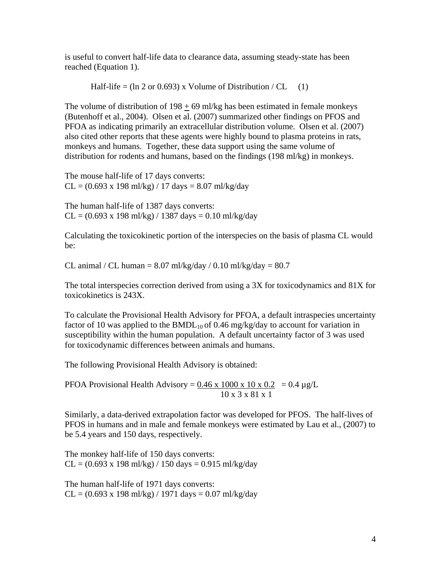is useful to convert half-life data to clearance data, assuming steady-state has been reached (Equation 1).

Half-life = 
$$
(\ln 2 \text{ or } 0.693)
$$
 x Volume of Distribution / CL (1)

The volume of distribution of  $198 + 69$  ml/kg has been estimated in female monkeys (Butenhoff et al., 2004). Olsen et al. (2007) summarized other findings on PFOS and PFOA as indicating primarily an extracellular distribution volume. Olsen et al. (2007) also cited other reports that these agents were highly bound to plasma proteins in rats, monkeys and humans. Together, these data support using the same volume of distribution for rodents and humans, based on the findings (198 ml/kg) in monkeys.

The mouse half-life of 17 days converts:  $CL = (0.693 \times 198 \text{ ml/kg}) / 17 \text{ days} = 8.07 \text{ ml/kg/day}$ 

The human half-life of 1387 days converts:  $CL = (0.693 \times 198 \text{ m} / \text{kg}) / 1387 \text{ days} = 0.10 \text{ m} / \text{kg/day}$ 

Calculating the toxicokinetic portion of the interspecies on the basis of plasma CL would be:

CL animal / CL human =  $8.07$  ml/kg/day /  $0.10$  ml/kg/day =  $80.7$ 

The total interspecies correction derived from using a 3X for toxicodynamics and 81X for toxicokinetics is 243X.

To calculate the Provisional Health Advisory for PFOA, a default intraspecies uncertainty factor of 10 was applied to the  $BMDL_{10}$  of 0.46 mg/kg/day to account for variation in susceptibility within the human population. A default uncertainty factor of 3 was used for toxicodynamic differences between animals and humans.

The following Provisional Health Advisory is obtained:

PFOA Provisional Health Advisory =  $0.46 \times 1000 \times 10 \times 0.2 = 0.4 \mu g/L$ 10 x 3 x 81 x 1

Similarly, a data-derived extrapolation factor was developed for PFOS. The half-lives of PFOS in humans and in male and female monkeys were estimated by Lau et al., (2007) to be 5.4 years and 150 days, respectively.

The monkey half-life of 150 days converts:  $CL = (0.693 \times 198 \text{ m} / \text{kg}) / 150 \text{ days} = 0.915 \text{ m} / \text{kg/day}$ 

The human half-life of 1971 days converts:  $CL = (0.693 \times 198 \text{ ml/kg}) / 1971 \text{ days} = 0.07 \text{ ml/kg/day}$